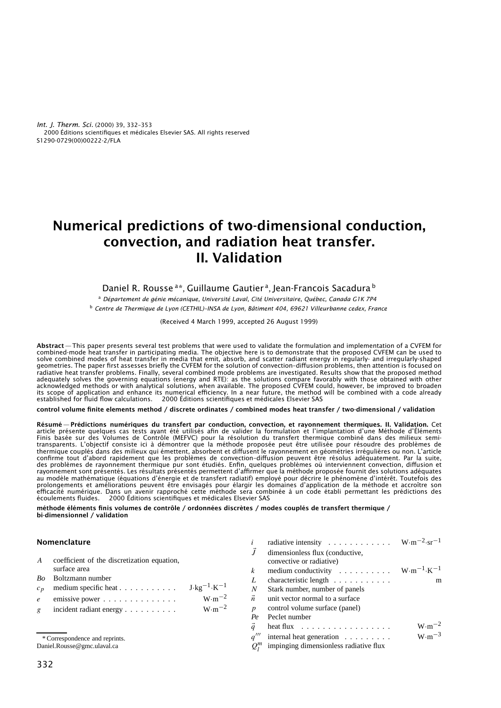*Int. J. Therm. Sci.* (2000) 39, 332–353 2000 Éditions scientifiques et médicales Elsevier SAS. All rights reserved S1290-0729(00)00222-2/FLA

# **Numerical predictions of two-dimensional conduction, convection, and radiation heat transfer. II. Validation**

Daniel R. Rousse <sup>a\*</sup>, Guillaume Gautier<sup>a</sup>, Jean-Francois Sacadura <sup>b</sup>

<sup>a</sup> *Département de génie mécanique, Université Laval, Cité Universitaire, Québec, Canada G1K 7P4* <sup>b</sup> *Centre de Thermique de Lyon (CETHIL)–INSA de Lyon, Bâtiment 404, 69621 Villeurbanne cedex, France*

(Received 4 March 1999, accepted 26 August 1999)

**Abstract** —This paper presents several test problems that were used to validate the formulation and implementation of a CVFEM for combined-mode heat transfer in participating media. The objective here is to demonstrate that the proposed CVFEM can be used to solve combined modes of heat transfer in media that emit, absorb, and scatter radiant energy in regularly- and irregularly-shaped geometries. The paper first assesses briefly the CVFEM for the solution of convection–diffusion problems, then attention is focused on radiative heat transfer problems. Finally, several combined mode problems are investigated. Results show that the proposed method adequately solves the governing equations (energy and RTE): as the solutions compare favorably with those obtained with other acknowledged methods or with analytical solutions, when available. The proposed CVFEM could, however, be improved to broaden its scope of application and enhance its numerical efficiency. In a near future, the method will be combined with a code already<br>established for fluid flow calculations. © 2000 Éditions scientifiques et médicales Elsevier

**control volume finite elements method / discrete ordinates / combined modes heat transfer / two-dimensional / validation**

**Résumé** —**Prédictions numériques du transfert par conduction, convection, et rayonnement thermiques. II. Validation.** Cet article présente quelques cas tests ayant été utilisés afin de valider la formulation et l'implantation d'une Méthode d'Éléments Finis basée sur des Volumes de Contrôle (MEFVC) pour la résolution du transfert thermique combiné dans des milieux semitransparents. L'objectif consiste ici à démontrer que la méthode proposée peut être utilisée pour résoudre des problèmes de thermique couplés dans des milieux qui émettent, absorbent et diffusent le rayonnement en géométries irrégulières ou non. L'article confirme tout d'abord rapidement que les problèmes de convection–diffusion peuvent être résolus adéquatement. Par la suite, des problèmes de rayonnement thermique pur sont étudiés. Enfin, quelques problèmes où interviennent convection, diffusion et<br>rayonnement sont présentés. Les résultats présentés permettent d'affirmer que la méthode proposée au modèle mathématique (équations d'énergie et de transfert radiatif) employé pour décrire le phénomène d'intérêt. Toutefois des prolongements et améliorations peuvent être envisagés pour élargir les domaines d'application de la méthode et accroître son<br>efficacité numérique. Dans un avenir rapproché cette méthode sera combinée à un code établi perme écoulements fluides. 2000 Éditions scientifiques et médicales Elsevier SAS

**méthode éléments finis volumes de contrôle / ordonnées discrètes / modes couplés de transfert thermique / bi-dimensionnel / validation**

### **Nomenclature**

| A coefficient of the discretization equation, |                                |
|-----------------------------------------------|--------------------------------|
| surface area                                  |                                |
| <i>Bo</i> Boltzmann number                    |                                |
| $c_p$ medium specific heat                    | $J \cdot kg^{-1} \cdot K^{-1}$ |
|                                               | $W \cdot m^{-2}$               |
| g incident radiant energy $\dots \dots$       | $W \cdot m^{-2}$               |

<sup>\*</sup> Correspondence and reprints.

| i                | radiative intensity                                         | $W \cdot m^{-2} \cdot sr^{-1}$ |
|------------------|-------------------------------------------------------------|--------------------------------|
| $\vec{J}$        | dimensionless flux (conductive,<br>convective or radiative) |                                |
| k                | medium conductivity                                         | $W \cdot m^{-1} \cdot K^{-1}$  |
| L                | characteristic length                                       | m                              |
| $\boldsymbol{N}$ | Stark number, number of panels                              |                                |
| $\vec{n}$        | unit vector normal to a surface                             |                                |
| $\boldsymbol{p}$ | control volume surface (panel)                              |                                |
| Pe               | Peclet number                                               |                                |
| $\vec{q}$        | heat flux $\ldots \ldots \ldots \ldots \ldots$              | $W \cdot m^{-2}$               |
| q'''             | internal heat generation                                    | $W \cdot m^{-3}$               |
| $Q_l^m$          | impinging dimensionless radiative flux                      |                                |
|                  |                                                             |                                |

Daniel.Rousse@gmc.ulaval.ca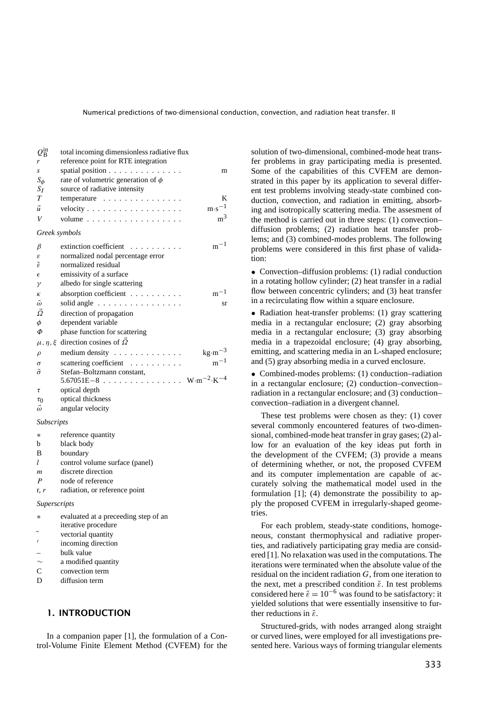| $\mathcal{Q}_\mathrm{B}^\mathrm{in}$ | total incoming dimensionless radiative flux                                                   |
|--------------------------------------|-----------------------------------------------------------------------------------------------|
| r                                    | reference point for RTE integration                                                           |
| $\boldsymbol{S}$                     | spatial position<br>m                                                                         |
| $S_{\phi}$                           | rate of volumetric generation of $\phi$                                                       |
| $S_I$                                | source of radiative intensity                                                                 |
| $\tau$                               | K<br>temperature                                                                              |
| $\vec{u}$                            | $m \cdot s^{-1}$<br>$velocity \ldots \ldots \ldots \ldots \ldots$                             |
| V                                    | m <sup>3</sup><br>volume $\ldots$ $\ldots$ $\ldots$ $\ldots$ $\ldots$ $\ldots$                |
|                                      | Greek symbols                                                                                 |
| $\beta$                              | $m^{-1}$<br>extinction coefficient<br>$\mathcal{A}$ . The set of the set of the $\mathcal{A}$ |
| $\mathcal E$                         | normalized nodal percentage error                                                             |
| $\tilde{\varepsilon}$                | normalized residual                                                                           |
| $\epsilon$                           | emissivity of a surface                                                                       |
| γ                                    | albedo for single scattering                                                                  |
| К                                    | $m^{-1}$<br>absorption coefficient                                                            |
| $\tilde{\omega}$                     | solid angle $\ldots$<br>sr                                                                    |
| $\vec{\Omega}$                       | direction of propagation                                                                      |
| $\phi$                               | dependent variable                                                                            |
| Φ                                    | phase function for scattering                                                                 |
|                                      | $\mu$ , $\eta$ , $\xi$ direction cosines of $\vec{\Omega}$                                    |
| $\rho$                               | $\text{kg}\cdot\text{m}^{-3}$<br>medium density $\ldots$ ,                                    |
| σ                                    | $m^{-1}$<br>scattering coefficient                                                            |
| $\tilde{\sigma}$                     | Stefan-Boltzmann constant,                                                                    |
|                                      | 5.67051E-8 $W \cdot m^{-2} \cdot K^{-4}$                                                      |
| τ                                    | optical depth                                                                                 |
| $\tau_0$                             | optical thickness                                                                             |
| $\vec{\omega}$                       | angular velocity                                                                              |
| Subscripts                           |                                                                                               |
| $\ast$                               | reference quantity                                                                            |
| b                                    | black body                                                                                    |
| B                                    | boundary                                                                                      |
| l                                    | control volume surface (panel)                                                                |

- *m* discrete direction
- *P* node of reference
- r, *r* radiation, or reference point

#### *Superscripts*

- ∗ evaluated at a preceeding step of an iterative procedure
- 
- $\vec{v}$  vectorial quantity<br> $\vec{v}$  incoming direction
- bulk value
- $\sim$  a modified quantity<br>C convection term
- C convection term
- D diffusion term

# **1. INTRODUCTION**

In a companion paper [1], the formulation of a Control-Volume Finite Element Method (CVFEM) for the solution of two-dimensional, combined-mode heat transfer problems in gray participating media is presented. Some of the capabilities of this CVFEM are demonstrated in this paper by its application to several different test problems involving steady-state combined conduction, convection, and radiation in emitting, absorbing and isotropically scattering media. The assesment of the method is carried out in three steps: (1) convection– diffusion problems; (2) radiation heat transfer problems; and (3) combined-modes problems. The following problems were considered in this first phase of validation:

• Convection–diffusion problems: (1) radial conduction in a rotating hollow cylinder; (2) heat transfer in a radial flow between concentric cylinders; and (3) heat transfer in a recirculating flow within a square enclosure.

• Radiation heat-transfer problems: (1) gray scattering media in a rectangular enclosure; (2) gray absorbing media in a rectangular enclosure; (3) gray absorbing media in a trapezoidal enclosure; (4) gray absorbing, emitting, and scattering media in an L-shaped enclosure; and (5) gray absorbing media in a curved enclosure.

• Combined-modes problems: (1) conduction–radiation in a rectangular enclosure; (2) conduction–convection– radiation in a rectangular enclosure; and (3) conduction– convection–radiation in a divergent channel.

These test problems were chosen as they: (1) cover several commonly encountered features of two-dimensional, combined-mode heat transfer in gray gases; (2) allow for an evaluation of the key ideas put forth in the development of the CVFEM; (3) provide a means of determining whether, or not, the proposed CVFEM and its computer implementation are capable of accurately solving the mathematical model used in the formulation [1]; (4) demonstrate the possibility to apply the proposed CVFEM in irregularly-shaped geometries.

For each problem, steady-state conditions, homogeneous, constant thermophysical and radiative properties, and radiatively participating gray media are considered [1]. No relaxation was used in the computations. The iterations were terminated when the absolute value of the residual on the incident radiation *G*, from one iteration to the next, met a prescribed condition  $\tilde{\varepsilon}$ . In test problems considered here  $\tilde{\varepsilon} = 10^{-6}$  was found to be satisfactory: it yielded solutions that were essentially insensitive to further reductions in  $\tilde{\varepsilon}$ .

Structured-grids, with nodes arranged along straight or curved lines, were employed for all investigations presented here. Various ways of forming triangular elements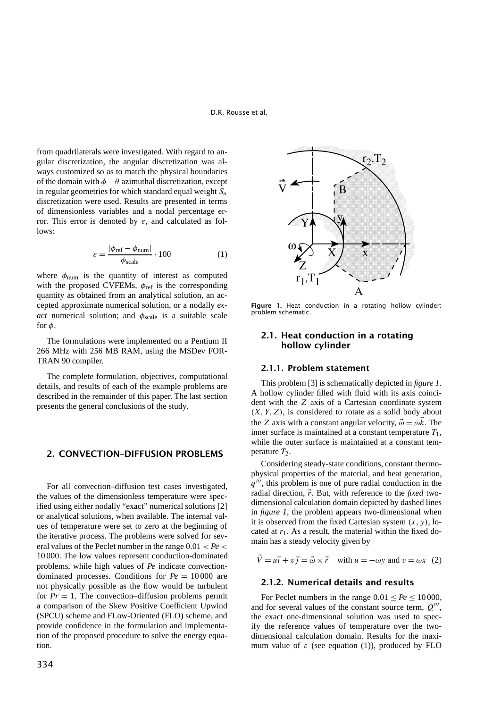from quadrilaterals were investigated. With regard to angular discretization, the angular discretization was always customized so as to match the physical boundaries of the domain with  $\phi - \theta$  azimuthal discretization, except in regular geometries for which standard equal weight *Sn* discretization were used. Results are presented in terms of dimensionless variables and a nodal percentage error. This error is denoted by *ε*, and calculated as follows:

$$
\varepsilon = \frac{|\phi_{\text{ref}} - \phi_{\text{num}}|}{\phi_{\text{scale}}} \cdot 100 \tag{1}
$$

where  $\phi_{\text{num}}$  is the quantity of interest as computed with the proposed CVFEMs,  $\phi_{ref}$  is the corresponding quantity as obtained from an analytical solution, an accepted approximate numerical solution, or a nodally *exact* numerical solution; and  $\phi_{scale}$  is a suitable scale for  $\phi$ .

The formulations were implemented on a Pentium II 266 MHz with 256 MB RAM, using the MSDev FOR-TRAN 90 compiler.

The complete formulation, objectives, computational details, and results of each of the example problems are described in the remainder of this paper. The last section presents the general conclusions of the study.

### **2. CONVECTION–DIFFUSION PROBLEMS**

For all convection–diffusion test cases investigated, the values of the dimensionless temperature were specified using either nodally "exact" numerical solutions [2] or analytical solutions, when available. The internal values of temperature were set to zero at the beginning of the iterative process. The problems were solved for several values of the Peclet number in the range 0*.*01 *< Pe <* 10 000. The low values represent conduction-dominated problems, while high values of *Pe* indicate convectiondominated processes. Conditions for *Pe* = 10 000 are not physically possible as the flow would be turbulent for  $Pr = 1$ . The convection–diffusion problems permit a comparison of the Skew Positive Coefficient Upwind (SPCU) scheme and FLow-Oriented (FLO) scheme, and provide confidence in the formulation and implementation of the proposed procedure to solve the energy equation.



**Figure 1.** Heat conduction in a rotating hollow cylinder: problem schematic.

# **2.1. Heat conduction in a rotating hollow cylinder**

### **2.1.1. Problem statement**

This problem [3] is schematically depicted in *figure 1*. A hollow cylinder filled with fluid with its axis coincident with the *Z* axis of a Cartesian coordinate system *(X, Y,Z)*, is considered to rotate as a solid body about the *Z* axis with a constant angular velocity,  $\vec{\omega} = \omega k$ . The inner surface is maintained at a constant temperature  $T_1$ , while the outer surface is maintained at a constant temperature  $T_2$ .

Considering steady-state conditions, constant thermophysical properties of the material, and heat generation,  $q^{\prime\prime\prime}$ , this problem is one of pure radial conduction in the radial direction,  $\vec{r}$ . But, with reference to the *fixed* twodimensional calculation domain depicted by dashed lines in *figure 1*, the problem appears two-dimensional when it is observed from the fixed Cartesian system *(x, y)*, located at  $r_1$ . As a result, the material within the fixed domain has a steady velocity given by

$$
\vec{V} = u\vec{i} + v\vec{j} = \vec{\omega} \times \vec{r} \quad \text{with } u = -\omega y \text{ and } v = \omega x \quad (2)
$$

#### **2.1.2. Numerical details and results**

For Peclet numbers in the range  $0.01 \le Pe \le 10000$ , and for several values of the constant source term,  $Q^{\prime\prime\prime}$ , the exact one-dimensional solution was used to specify the reference values of temperature over the twodimensional calculation domain. Results for the maximum value of  $\varepsilon$  (see equation (1)), produced by FLO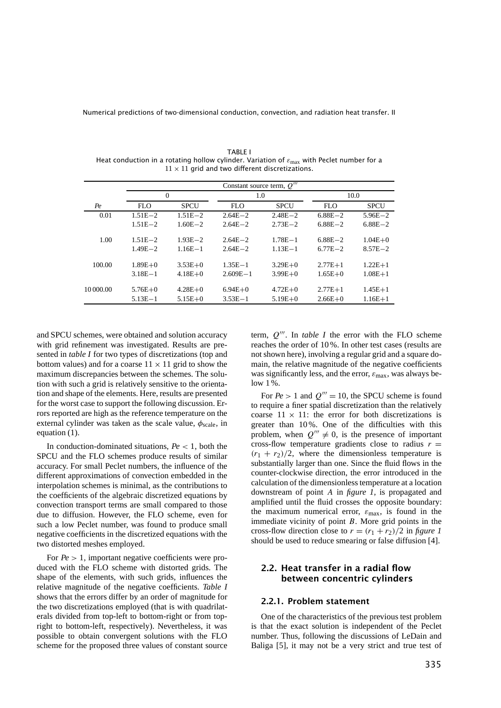|           |             |             | Constant source term, $O'''$ |             |             |             |  |
|-----------|-------------|-------------|------------------------------|-------------|-------------|-------------|--|
|           |             | $\Omega$    |                              | 1.0         |             | 10.0        |  |
| Pe        | FLO         | <b>SPCU</b> | FLO                          | <b>SPCU</b> | FLO         | <b>SPCU</b> |  |
| 0.01      | $1.51E - 2$ | $1.51E - 2$ | $2.64E - 2$                  | $2.48E - 2$ | $6.88E - 2$ | $5.96E - 2$ |  |
|           | $1.51E - 2$ | $1.60E - 2$ | $2.64E - 2$                  | $2.73E - 2$ | $6.88E - 2$ | $6.88E - 2$ |  |
| 1.00      | $1.51E - 2$ | $1.93E - 2$ | $2.64E - 2$                  | $1.78E - 1$ | $6.88E - 2$ | $1.04E + 0$ |  |
|           | $1.49E - 2$ | $1.16E - 1$ | $2.64E - 2$                  | $1.13E - 1$ | $6.77E - 2$ | $8.57E - 2$ |  |
| 100.00    | $1.89E + 0$ | $3.53E+0$   | $1.35E - 1$                  | $3.29E + 0$ | $2.77E + 1$ | $1.22E + 1$ |  |
|           | $3.18E - 1$ | $4.18E + 0$ | $2.609E - 1$                 | $3.99E + 0$ | $1.65E + 0$ | $1.08E + 1$ |  |
| 10 000.00 | $5.76E + 0$ | $4.28E + 0$ | $6.94E + 0$                  | $4.72E + 0$ | $2.77E + 1$ | $1.45E + 1$ |  |
|           | $5.13E - 1$ | $5.15E + 0$ | $3.53E - 1$                  | $5.19E + 0$ | $2.66E + 0$ | $1.16E + 1$ |  |

TABLE I Heat conduction in a rotating hollow cylinder. Variation of  $ε<sub>max</sub>$  with Peclet number for a  $11 \times 11$  grid and two different discretizations.

and SPCU schemes, were obtained and solution accuracy with grid refinement was investigated. Results are presented in *table I* for two types of discretizations (top and bottom values) and for a coarse  $11 \times 11$  grid to show the maximum discrepancies between the schemes. The solution with such a grid is relatively sensitive to the orientation and shape of the elements. Here, results are presented for the worst case to support the following discussion. Errors reported are high as the reference temperature on the external cylinder was taken as the scale value,  $\phi_{\text{scale}}$ , in equation (1).

In conduction-dominated situations, *Pe <* 1, both the SPCU and the FLO schemes produce results of similar accuracy. For small Peclet numbers, the influence of the different approximations of convection embedded in the interpolation schemes is minimal, as the contributions to the coefficients of the algebraic discretized equations by convection transport terms are small compared to those due to diffusion. However, the FLO scheme, even for such a low Peclet number, was found to produce small negative coefficients in the discretized equations with the two distorted meshes employed.

For *Pe >* 1, important negative coefficients were produced with the FLO scheme with distorted grids. The shape of the elements, with such grids, influences the relative magnitude of the negative coefficients. *Table I* shows that the errors differ by an order of magnitude for the two discretizations employed (that is with quadrilaterals divided from top-left to bottom-right or from topright to bottom-left, respectively). Nevertheless, it was possible to obtain convergent solutions with the FLO scheme for the proposed three values of constant source

term,  $Q^{\prime\prime\prime}$ . In *table I* the error with the FLO scheme reaches the order of 10 %. In other test cases (results are not shown here), involving a regular grid and a square domain, the relative magnitude of the negative coefficients was significantly less, and the error, *ε*max, was always below 1 %.

For  $Pe > 1$  and  $Q''' = 10$ , the SPCU scheme is found to require a finer spatial discretization than the relatively coarse  $11 \times 11$ : the error for both discretizations is greater than 10 %. One of the difficulties with this problem, when  $Q^{\prime\prime\prime} \neq 0$ , is the presence of important cross-flow temperature gradients close to radius  $r =$  $(r_1 + r_2)/2$ , where the dimensionless temperature is substantially larger than one. Since the fluid flows in the counter-clockwise direction, the error introduced in the calculation of the dimensionless temperature at a location downstream of point *A* in *figure 1*, is propagated and amplified until the fluid crosses the opposite boundary: the maximum numerical error,  $\varepsilon_{\text{max}}$ , is found in the immediate vicinity of point *B*. More grid points in the cross-flow direction close to  $r = (r_1 + r_2)/2$  in *figure 1* should be used to reduce smearing or false diffusion [4].

# **2.2. Heat transfer in a radial flow between concentric cylinders**

### **2.2.1. Problem statement**

One of the characteristics of the previous test problem is that the exact solution is independent of the Peclet number. Thus, following the discussions of LeDain and Baliga [5], it may not be a very strict and true test of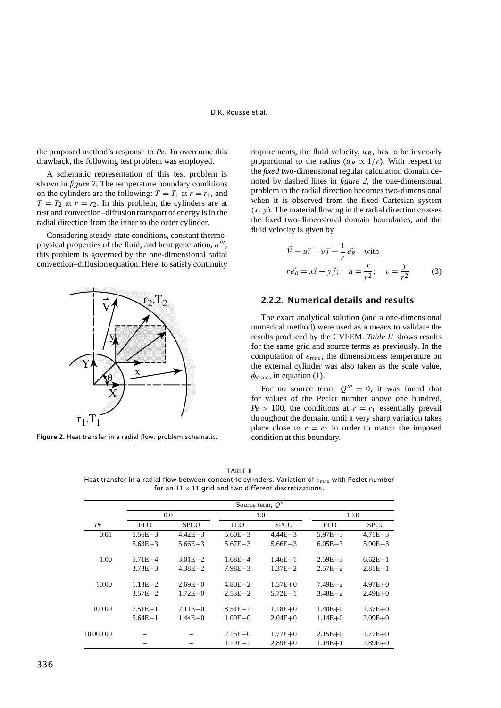the proposed method's response to *Pe*. To overcome this drawback, the following test problem was employed.

A schematic representation of this test problem is shown in *figure 2*. The temperature boundary conditions on the cylinders are the following:  $T = T_1$  at  $r = r_1$ , and  $T = T_2$  at  $r = r_2$ . In this problem, the cylinders are at rest and convection–diffusion transport of energy is in the radial direction from the inner to the outer cylinder.

Considering steady-state conditions, constant thermophysical properties of the fluid, and heat generation,  $q^{\prime\prime\prime}$ , this problem is governed by the one-dimensional radial convection–diffusion equation. Here, to satisfy continuity



**Figure 2.** Heat transfer in a radial flow: problem schematic.

requirements, the fluid velocity,  $u_R$ , has to be inversely proportional to the radius ( $u_R \propto 1/r$ ). With respect to the *fixed* two-dimensional regular calculation domain denoted by dashed lines in *figure 2*, the one-dimensional problem in the radial direction becomes two-dimensional when it is observed from the fixed Cartesian system *(x, y)*. The material flowing in the radial direction crosses the fixed two-dimensional domain boundaries, and the fluid velocity is given by

$$
\vec{V} = u\vec{i} + v\vec{j} = \frac{1}{r}\vec{e_R} \quad \text{with}
$$
\n
$$
r\vec{e_R} = x\vec{i} + y\vec{j}; \quad u = \frac{x}{r^2}; \quad v = \frac{y}{r^2} \tag{3}
$$

### **2.2.2. Numerical details and results**

The exact analytical solution (and a one-dimensional numerical method) were used as a means to validate the results produced by the CVFEM. *Table II* shows results for the same grid and source terms as previously. In the computation of  $\varepsilon_{\text{max}}$ , the dimensionless temperature on the external cylinder was also taken as the scale value, *φ*scale, in equation (1).

For no source term,  $Q''' = 0$ , it was found that for values of the Peclet number above one hundred,  $Pe > 100$ , the conditions at  $r = r_1$  essentially prevail throughout the domain, until a very sharp variation takes place close to  $r = r_2$  in order to match the imposed condition at this boundary.

|           |             |             |             | Source term, $\overline{Q'''}$ |             |             |
|-----------|-------------|-------------|-------------|--------------------------------|-------------|-------------|
|           | 0.0         |             | 1.0         |                                | 10.0        |             |
| Pe        | <b>FLO</b>  | SPCU        | <b>FLO</b>  | <b>SPCU</b>                    | <b>FLO</b>  | <b>SPCU</b> |
| 0.01      | $5.56E - 3$ | $4.42E - 3$ | $5.60E - 3$ | $4.44E - 3$                    | $5.97E - 3$ | $4.71E - 3$ |
|           | $5.63E - 3$ | $5.66E - 3$ | $5.67E - 3$ | $5.66E - 3$                    | $6.05E - 3$ | $5.90E - 3$ |
| 1.00      | $5.71E - 4$ | $3.01E - 2$ | $1.68E - 4$ | $1.46E - 1$                    | $2.59E - 3$ | $6.62E - 1$ |
|           | $3.73E - 3$ | $4.38E - 2$ | $7.98E - 3$ | $1.37E - 2$                    | $2.57E - 2$ | $2.81E - 1$ |
| 10.00     | $1.13E - 2$ | $2.69E + 0$ | $4.80E - 2$ | $1.57E+0$                      | $7.49E - 2$ | $4.97E + 0$ |
|           | $3.57E - 2$ | $1.72E + 0$ | $2.53E - 2$ | $5.72E - 1$                    | $3.48E - 2$ | $2.49E + 0$ |
| 100.00    | $7.51E - 1$ | $2.11E+0$   | $8.51E - 1$ | $1.18E + 0$                    | $1.40E + 0$ | $1.37E + 0$ |
|           | $5.64E - 1$ | $1.44E + 0$ | $1.09E + 0$ | $2.04E + 0$                    | $1.14E + 0$ | $2.09E + 0$ |
| 10 000.00 |             |             | $2.15E+0$   | $1.77E + 0$                    | $2.15E+0$   | $1.77E + 0$ |
|           |             |             | $1.19E + 1$ | $2.89E+0$                      | $1.19E + 1$ | $2.89E + 0$ |

TABLE II Heat transfer in a radial flow between concentric cylinders. Variation of  $\varepsilon_{\rm max}$  with Peclet number for an  $11 \times 11$  grid and two different discretizations.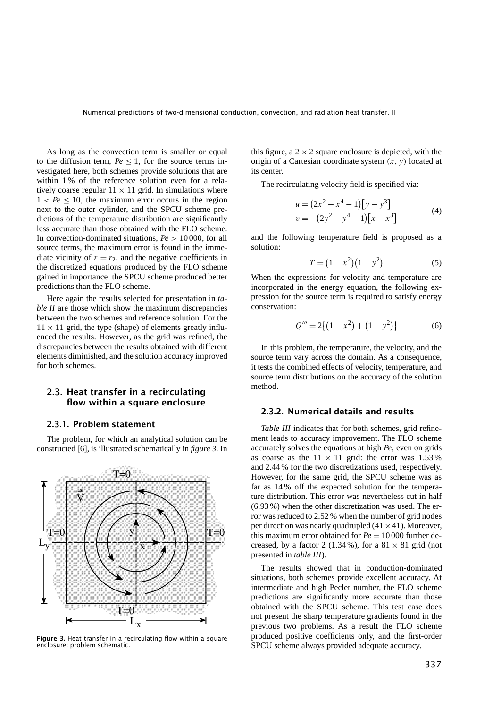As long as the convection term is smaller or equal to the diffusion term,  $Pe < 1$ , for the source terms investigated here, both schemes provide solutions that are within 1% of the reference solution even for a relatively coarse regular  $11 \times 11$  grid. In simulations where  $1 < Pe < 10$ , the maximum error occurs in the region next to the outer cylinder, and the SPCU scheme predictions of the temperature distribution are significantly less accurate than those obtained with the FLO scheme. In convection-dominated situations, *Pe >* 10 000, for all source terms, the maximum error is found in the immediate vicinity of  $r = r_2$ , and the negative coefficients in the discretized equations produced by the FLO scheme gained in importance: the SPCU scheme produced better predictions than the FLO scheme.

Here again the results selected for presentation in *table II* are those which show the maximum discrepancies between the two schemes and reference solution. For the  $11 \times 11$  grid, the type (shape) of elements greatly influenced the results. However, as the grid was refined, the discrepancies between the results obtained with different elements diminished, and the solution accuracy improved for both schemes.

## **2.3. Heat transfer in a recirculating flow within a square enclosure**

### **2.3.1. Problem statement**

The problem, for which an analytical solution can be constructed [6], is illustrated schematically in *figure 3*. In



**Figure 3.** Heat transfer in a recirculating flow within a square enclosure: problem schematic.

this figure, a  $2 \times 2$  square enclosure is depicted, with the origin of a Cartesian coordinate system *(x, y)* located at its center.

The recirculating velocity field is specified via:

$$
u = (2x2 - x4 - 1)[y - y3]v = -(2y2 - y4 - 1)[x - x3] (4)
$$

and the following temperature field is proposed as a solution:

$$
T = (1 - x^2)(1 - y^2)
$$
 (5)

When the expressions for velocity and temperature are incorporated in the energy equation, the following expression for the source term is required to satisfy energy conservation:

$$
Q''' = 2\{(1 - x^2) + (1 - y^2)\}\tag{6}
$$

In this problem, the temperature, the velocity, and the source term vary across the domain. As a consequence, it tests the combined effects of velocity, temperature, and source term distributions on the accuracy of the solution method.

### **2.3.2. Numerical details and results**

*Table III* indicates that for both schemes, grid refinement leads to accuracy improvement. The FLO scheme accurately solves the equations at high *Pe*, even on grids as coarse as the  $11 \times 11$  grid: the error was  $1.53\%$ and 2.44 % for the two discretizations used, respectively. However, for the same grid, the SPCU scheme was as far as 14 % off the expected solution for the temperature distribution. This error was nevertheless cut in half (6.93 %) when the other discretization was used. The error was reduced to 2.52 % when the number of grid nodes per direction was nearly quadrupled  $(41 \times 41)$ . Moreover, this maximum error obtained for  $Pe = 10000$  further decreased, by a factor 2 (1.34%), for a  $81 \times 81$  grid (not presented in *table III*).

The results showed that in conduction-dominated situations, both schemes provide excellent accuracy. At intermediate and high Peclet number, the FLO scheme predictions are significantly more accurate than those obtained with the SPCU scheme. This test case does not present the sharp temperature gradients found in the previous two problems. As a result the FLO scheme produced positive coefficients only, and the first-order SPCU scheme always provided adequate accuracy.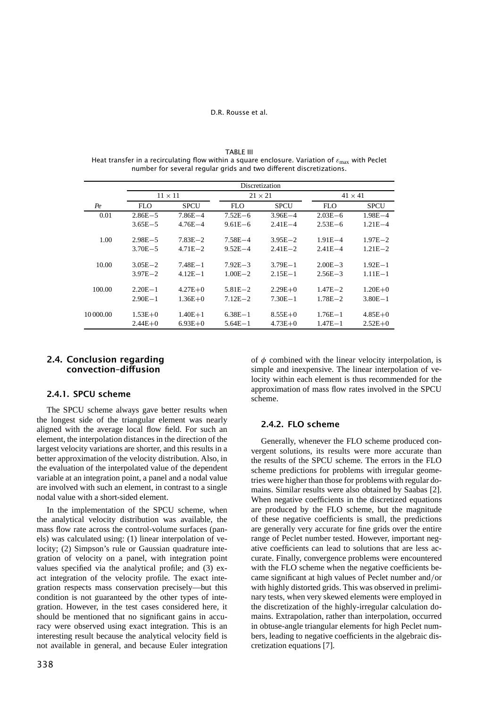|           |                |             |                | Discretization |                |             |
|-----------|----------------|-------------|----------------|----------------|----------------|-------------|
|           | $11 \times 11$ |             | $21 \times 21$ |                | $41 \times 41$ |             |
| Pe        | <b>FLO</b>     | <b>SPCU</b> | <b>FLO</b>     | <b>SPCU</b>    | <b>FLO</b>     | <b>SPCU</b> |
| 0.01      | $2.86E - 5$    | $7.86E - 4$ | $7.52E - 6$    | $3.96E - 4$    | $2.03E - 6$    | $1.98E - 4$ |
|           | $3.65E - 5$    | $4.76E - 4$ | $9.61E - 6$    | $2.41E - 4$    | $2.53E - 6$    | $1.21E - 4$ |
| 1.00      | $2.98E - 5$    | $7.83E - 2$ | $7.58E - 4$    | $3.95E - 2$    | $1.91E - 4$    | $1.97E - 2$ |
|           | $3.70E - 5$    | $4.71E - 2$ | $9.52E - 4$    | $2.41E - 2$    | $2.41E - 4$    | $1.21E - 2$ |
| 10.00     | $3.05E - 2$    | $7.48E - 1$ | $7.92E - 3$    | $3.79E - 1$    | $2.00E - 3$    | $1.92E - 1$ |
|           | $3.97E - 2$    | $4.12E - 1$ | $1.00E - 2$    | $2.15E - 1$    | $2.56E - 3$    | $1.11E - 1$ |
| 100.00    | $2.20E - 1$    | $4.27E + 0$ | $5.81E - 2$    | $2.29E+0$      | $1.47E - 2$    | $1.20E + 0$ |
|           | $2.90E - 1$    | $1.36E + 0$ | $7.12E - 2$    | $7.30E - 1$    | $1.78E - 2$    | $3.80E - 1$ |
| 10 000.00 | $1.53E + 0$    | $1.40E + 1$ | $6.38E - 1$    | $8.55E+0$      | $1.76E - 1$    | $4.85E + 0$ |
|           | $2.44E + 0$    | $6.93E+0$   | $5.64E - 1$    | $4.73E + 0$    | $1.47E - 1$    | $2.52E+0$   |

TABLE III Heat transfer in a recirculating flow within a square enclosure. Variation of *ε*max with Peclet number for several regular grids and two different discretizations.

# **2.4. Conclusion regarding convection–diffusion**

# **2.4.1. SPCU scheme**

The SPCU scheme always gave better results when the longest side of the triangular element was nearly aligned with the average local flow field. For such an element, the interpolation distances in the direction of the largest velocity variations are shorter, and this results in a better approximation of the velocity distribution. Also, in the evaluation of the interpolated value of the dependent variable at an integration point, a panel and a nodal value are involved with such an element, in contrast to a single nodal value with a short-sided element.

In the implementation of the SPCU scheme, when the analytical velocity distribution was available, the mass flow rate across the control-volume surfaces (panels) was calculated using: (1) linear interpolation of velocity; (2) Simpson's rule or Gaussian quadrature integration of velocity on a panel, with integration point values specified via the analytical profile; and (3) exact integration of the velocity profile. The exact integration respects mass conservation precisely—but this condition is not guaranteed by the other types of integration. However, in the test cases considered here, it should be mentioned that no significant gains in accuracy were observed using exact integration. This is an interesting result because the analytical velocity field is not available in general, and because Euler integration

338

of  $\phi$  combined with the linear velocity interpolation, is simple and inexpensive. The linear interpolation of velocity within each element is thus recommended for the approximation of mass flow rates involved in the SPCU scheme.

# **2.4.2. FLO scheme**

Generally, whenever the FLO scheme produced convergent solutions, its results were more accurate than the results of the SPCU scheme. The errors in the FLO scheme predictions for problems with irregular geometries were higher than those for problems with regular domains. Similar results were also obtained by Saabas [2]. When negative coefficients in the discretized equations are produced by the FLO scheme, but the magnitude of these negative coefficients is small, the predictions are generally very accurate for fine grids over the entire range of Peclet number tested. However, important negative coefficients can lead to solutions that are less accurate. Finally, convergence problems were encountered with the FLO scheme when the negative coefficients became significant at high values of Peclet number and*/*or with highly distorted grids. This was observed in preliminary tests, when very skewed elements were employed in the discretization of the highly-irregular calculation domains. Extrapolation, rather than interpolation, occurred in obtuse-angle triangular elements for high Peclet numbers, leading to negative coefficients in the algebraic discretization equations [7].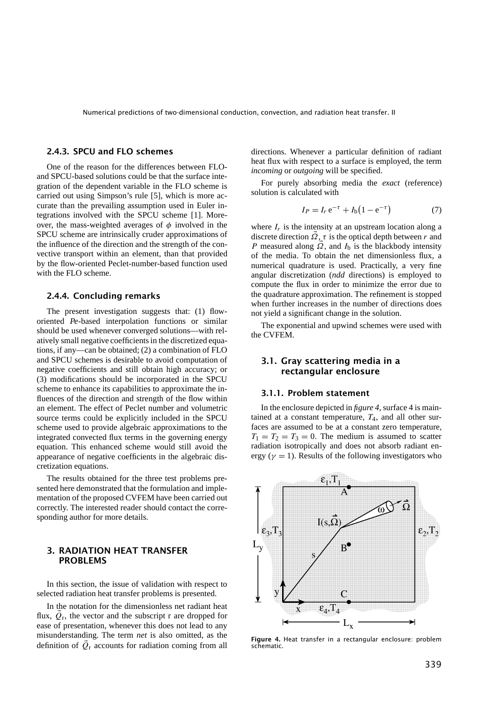### **2.4.3. SPCU and FLO schemes**

One of the reason for the differences between FLOand SPCU-based solutions could be that the surface integration of the dependent variable in the FLO scheme is carried out using Simpson's rule [5], which is more accurate than the prevailing assumption used in Euler integrations involved with the SPCU scheme [1]. Moreover, the mass-weighted averages of  $\phi$  involved in the SPCU scheme are intrinsically cruder approximations of the influence of the direction and the strength of the convective transport within an element, than that provided by the flow-oriented Peclet-number-based function used with the FLO scheme.

#### **2.4.4. Concluding remarks**

The present investigation suggests that: (1) floworiented *Pe*-based interpolation functions or similar should be used whenever converged solutions—with relatively small negative coefficients in the discretized equations, if any—can be obtained; (2) a combination of FLO and SPCU schemes is desirable to avoid computation of negative coefficients and still obtain high accuracy; or (3) modifications should be incorporated in the SPCU scheme to enhance its capabilities to approximate the influences of the direction and strength of the flow within an element. The effect of Peclet number and volumetric source terms could be explicitly included in the SPCU scheme used to provide algebraic approximations to the integrated convected flux terms in the governing energy equation. This enhanced scheme would still avoid the appearance of negative coefficients in the algebraic discretization equations.

The results obtained for the three test problems presented here demonstrated that the formulation and implementation of the proposed CVFEM have been carried out correctly. The interested reader should contact the corresponding author for more details.

### **3. RADIATION HEAT TRANSFER PROBLEMS**

In this section, the issue of validation with respect to selected radiation heat transfer problems is presented.

In the notation for the dimensionless net radiant heat flux,  $Q_r$ , the vector and the subscript r are dropped for ease of presentation, whenever this does not lead to any misunderstanding. The term *net* is also omitted, as the definition of  $\vec{Q}_r$  accounts for radiation coming from all

directions. Whenever a particular definition of radiant heat flux with respect to a surface is employed, the term *incoming* or *outgoing* will be specified.

For purely absorbing media the *exact* (reference) solution is calculated with

$$
I_P = I_r e^{-\tau} + I_b (1 - e^{-\tau})
$$
 (7)

where  $I_r$  is the intensity at an upstream location along a discrete direction  $\vec{\Omega}$ ,  $\tau$  is the optical depth between *r* and *P* measured along  $\vec{\Omega}$ , and  $I<sub>b</sub>$  is the blackbody intensity of the media. To obtain the net dimensionless flux, a numerical quadrature is used. Practically, a very fine angular discretization (*ndd* directions) is employed to compute the flux in order to minimize the error due to the quadrature approximation. The refinement is stopped when further increases in the number of directions does not yield a significant change in the solution.

The exponential and upwind schemes were used with the CVFEM.

### **3.1. Gray scattering media in a rectangular enclosure**

### **3.1.1. Problem statement**

In the enclosure depicted in *figure 4*, surface 4 is maintained at a constant temperature, *T*4, and all other surfaces are assumed to be at a constant zero temperature,  $T_1 = T_2 = T_3 = 0$ . The medium is assumed to scatter radiation isotropically and does not absorb radiant energy  $(\gamma = 1)$ . Results of the following investigators who



**Figure 4.** Heat transfer in a rectangular enclosure: problem schematic.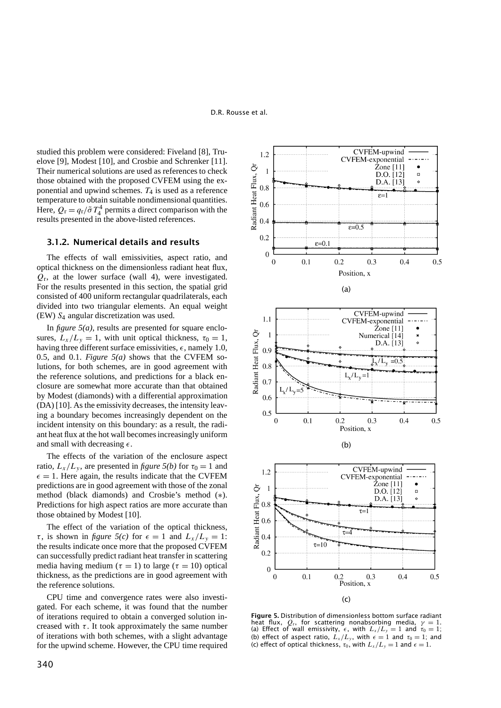studied this problem were considered: Fiveland [8], Truelove [9], Modest [10], and Crosbie and Schrenker [11]. Their numerical solutions are used as references to check those obtained with the proposed CVFEM using the exponential and upwind schemes. *T*<sup>4</sup> is used as a reference temperature to obtain suitable nondimensional quantities. Here,  $Q_{\rm r} = q_{\rm r}/\tilde{\sigma} T_4^4$  permits a direct comparison with the results presented in the above-listed references.

### **3.1.2. Numerical details and results**

The effects of wall emissivities, aspect ratio, and optical thickness on the dimensionless radiant heat flux, *Q*r, at the lower surface (wall 4), were investigated. For the results presented in this section, the spatial grid consisted of 400 uniform rectangular quadrilaterals, each divided into two triangular elements. An equal weight (EW) *S*<sup>4</sup> angular discretization was used.

In *figure 5(a)*, results are presented for square enclosures,  $L_x/L_y = 1$ , with unit optical thickness,  $\tau_0 = 1$ , having three different surface emissivities,  $\epsilon$ , namely 1.0, 0.5, and 0.1. *Figure 5(a)* shows that the CVFEM solutions, for both schemes, are in good agreement with the reference solutions, and predictions for a black enclosure are somewhat more accurate than that obtained by Modest (diamonds) with a differential approximation (DA) [10]. As the emissivity decreases, the intensity leaving a boundary becomes increasingly dependent on the incident intensity on this boundary: as a result, the radiant heat flux at the hot wall becomes increasingly uniform and small with decreasing  $\epsilon$ .

The effects of the variation of the enclosure aspect ratio,  $L_x/L_y$ , are presented in *figure* 5(*b*) for  $\tau_0 = 1$  and  $\epsilon = 1$ . Here again, the results indicate that the CVFEM predictions are in good agreement with those of the zonal method (black diamonds) and Crosbie's method (∗). Predictions for high aspect ratios are more accurate than those obtained by Modest [10].

The effect of the variation of the optical thickness, *τ*, is shown in *figure 5(c)* for  $\epsilon = 1$  and  $L_x/L_y = 1$ : the results indicate once more that the proposed CVFEM can successfully predict radiant heat transfer in scattering media having medium ( $\tau = 1$ ) to large ( $\tau = 10$ ) optical thickness, as the predictions are in good agreement with the reference solutions.

CPU time and convergence rates were also investigated. For each scheme, it was found that the number of iterations required to obtain a converged solution increased with  $\tau$ . It took approximately the same number of iterations with both schemes, with a slight advantage for the upwind scheme. However, the CPU time required





(b)



**Figure 5.** Distribution of dimensionless bottom surface radiant heat flux,  $Q_r$ , for scattering nonabsorbing media,  $\gamma = 1$ . (a) Effect of wall emissivity,  $\epsilon$ , with  $L_x/L_y = 1$  and  $\tau_0 = 1$ ; (b) effect of aspect ratio,  $L_x/L_y$ , with  $\epsilon = 1$  and  $\tau_0 = 1$ ; and (c) effect of optical thickness,  $\tau_0$ , with  $L_x/L_y = 1$  and  $\epsilon = 1$ .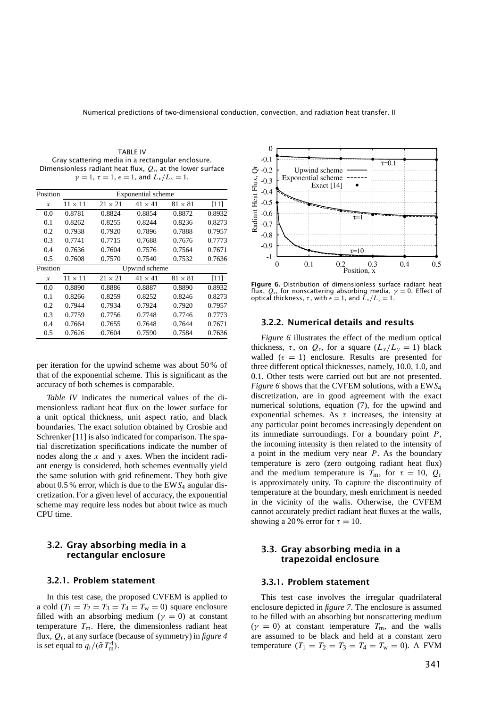TABLE IV Gray scattering media in a rectangular enclosure. Dimensionless radiant heat flux, *Q*r, at the lower surface  $\gamma = 1, \tau = 1, \epsilon = 1$ , and  $L_x/L_y = 1$ .

| Position         |                |                | Exponential scheme |                |        |
|------------------|----------------|----------------|--------------------|----------------|--------|
| $\boldsymbol{x}$ | $11 \times 11$ | $21 \times 21$ | $41 \times 41$     | $81 \times 81$ | $[11]$ |
| 0.0              | 0.8781         | 0.8824         | 0.8854             | 0.8872         | 0.8932 |
| 0.1              | 0.8262         | 0.8255         | 0.8244             | 0.8236         | 0.8273 |
| 0.2              | 0.7938         | 0.7920         | 0.7896             | 0.7888         | 0.7957 |
| 0.3              | 0.7741         | 0.7715         | 0.7688             | 0.7676         | 0.7773 |
| 0.4              | 0.7636         | 0.7604         | 0.7576             | 0.7564         | 0.7671 |
| 0.5              | 0.7608         | 0.7570         | 0.7540             | 0.7532         | 0.7636 |
| Position         |                |                | Upwind scheme      |                |        |
| $\boldsymbol{x}$ | $11 \times 11$ | $21 \times 21$ | $41 \times 41$     | $81 \times 81$ | $[11]$ |
| 0.0              | 0.8890         | 0.8886         | 0.8887             | 0.8890         | 0.8932 |
| 0.1              | 0.8266         | 0.8259         | 0.8252             | 0.8246         | 0.8273 |
| 0.2              | 0.7944         | 0.7934         | 0.7924             | 0.7920         | 0.7957 |
| 0.3              | 0.7759         | 0.7756         | 0.7748             | 0.7746         | 0.7773 |
| 0.4              | 0.7664         | 0.7655         | 0.7648             | 0.7644         | 0.7671 |
| 0.5              | 0.7626         | 0.7604         | 0.7590             | 0.7584         | 0.7636 |
|                  |                |                |                    |                |        |

per iteration for the upwind scheme was about 50 % of that of the exponential scheme. This is significant as the accuracy of both schemes is comparable.

*Table IV* indicates the numerical values of the dimensionless radiant heat flux on the lower surface for a unit optical thickness, unit aspect ratio, and black boundaries. The exact solution obtained by Crosbie and Schrenker [11] is also indicated for comparison. The spatial discretization specifications indicate the number of nodes along the *x* and *y* axes. When the incident radiant energy is considered, both schemes eventually yield the same solution with grid refinement. They both give about 0.5 % error, which is due to the EW*S*<sup>4</sup> angular discretization. For a given level of accuracy, the exponential scheme may require less nodes but about twice as much CPU time.

### **3.2. Gray absorbing media in a rectangular enclosure**

#### **3.2.1. Problem statement**

In this test case, the proposed CVFEM is applied to a cold  $(T_1 = T_2 = T_3 = T_4 = T_w = 0)$  square enclosure filled with an absorbing medium ( $\gamma = 0$ ) at constant temperature *T*m. Here, the dimensionless radiant heat flux, *Q*r, at any surface (because of symmetry) in *figure 4* is set equal to  $q_{\rm r}/(\tilde{\sigma} T_{\rm m}^4)$ .



**Figure 6.** Distribution of dimensionless surface radiant heat flux, *Q*r, for nonscattering absorbing media, *γ* = 0. Effect of **optical thickness,** *τ***, with**  $\epsilon = 1$ **, and**  $\bar{L}_x/L_y = 1$ **.** 

### **3.2.2. Numerical details and results**

*Figure 6* illustrates the effect of the medium optical thickness,  $\tau$ , on  $Q_r$ , for a square  $(L_x/L_y = 1)$  black walled  $(\epsilon = 1)$  enclosure. Results are presented for three different optical thicknesses, namely, 10.0, 1.0, and 0.1. Other tests were carried out but are not presented. *Figure 6* shows that the CVFEM solutions, with a EW*S*<sup>4</sup> discretization, are in good agreement with the exact numerical solutions, equation (7), for the upwind and exponential schemes. As  $\tau$  increases, the intensity at any particular point becomes increasingly dependent on its immediate surroundings. For a boundary point *P*, the incoming intensity is then related to the intensity of a point in the medium very near *P*. As the boundary temperature is zero (zero outgoing radiant heat flux) and the medium temperature is  $T_m$ , for  $\tau = 10$ ,  $Q_r$ is approximately unity. To capture the discontinuity of temperature at the boundary, mesh enrichment is needed in the vicinity of the walls. Otherwise, the CVFEM cannot accurately predict radiant heat fluxes at the walls, showing a 20 % error for  $\tau = 10$ .

### **3.3. Gray absorbing media in a trapezoidal enclosure**

### **3.3.1. Problem statement**

This test case involves the irregular quadrilateral enclosure depicted in *figure 7*. The enclosure is assumed to be filled with an absorbing but nonscattering medium  $(\gamma = 0)$  at constant temperature  $T_{\text{m}}$ , and the walls are assumed to be black and held at a constant zero temperature  $(T_1 = T_2 = T_3 = T_4 = T_w = 0)$ . A FVM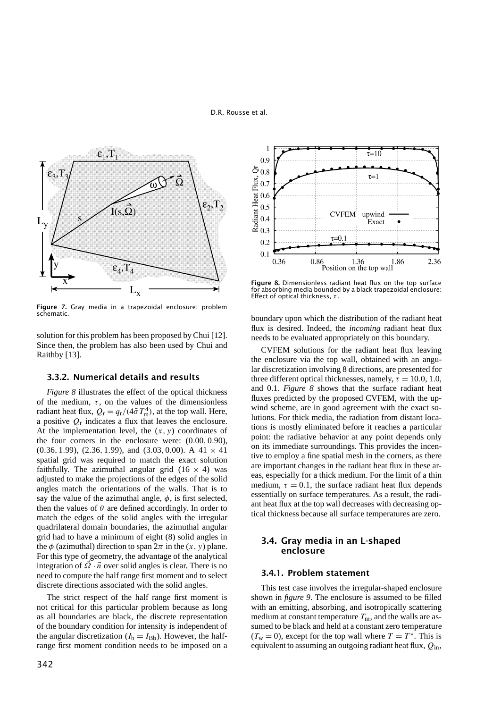

**Figure 7.** Gray media in a trapezoidal enclosure: problem schematic.

solution for this problem has been proposed by Chui [12]. Since then, the problem has also been used by Chui and Raithby [13].

### **3.3.2. Numerical details and results**

*Figure 8* illustrates the effect of the optical thickness of the medium,  $\tau$ , on the values of the dimensionless radiant heat flux,  $Q_{\rm r} = q_{\rm r}/(4\tilde{\sigma} T_{\rm m}^4)$ , at the top wall. Here, a positive  $Q_r$  indicates a flux that leaves the enclosure. At the implementation level, the  $(x, y)$  coordinates of the four corners in the enclosure were: (0*.*00*,* 0*.*90), (0*.*36*,* 1*.*99), (2*.*36*,* 1*.*99), and (3*.*03*,* 0*.*00). A 41 × 41 spatial grid was required to match the exact solution faithfully. The azimuthal angular grid  $(16 \times 4)$  was adjusted to make the projections of the edges of the solid angles match the orientations of the walls. That is to say the value of the azimuthal angle,  $\phi$ , is first selected, then the values of  $\theta$  are defined accordingly. In order to match the edges of the solid angles with the irregular quadrilateral domain boundaries, the azimuthal angular grid had to have a minimum of eight (8) solid angles in the  $\phi$  (azimuthal) direction to span  $2\pi$  in the  $(x, y)$  plane. For this type of geometry, the advantage of the analytical integration of  $\Omega \cdot \vec{n}$  over solid angles is clear. There is no need to compute the half range first moment and to select discrete directions associated with the solid angles.

The strict respect of the half range first moment is not critical for this particular problem because as long as all boundaries are black, the discrete representation of the boundary condition for intensity is independent of the angular discretization ( $I<sub>b</sub> = I<sub>Bb</sub>$ ). However, the halfrange first moment condition needs to be imposed on a



**Figure 8.** Dimensionless radiant heat flux on the top surface for absorbing media bounded by a black trapezoidal enclosure: Effect of optical thickness, *τ* .

boundary upon which the distribution of the radiant heat flux is desired. Indeed, the *incoming* radiant heat flux needs to be evaluated appropriately on this boundary.

CVFEM solutions for the radiant heat flux leaving the enclosure via the top wall, obtained with an angular discretization involving 8 directions, are presented for three different optical thicknesses, namely,  $\tau = 10.0, 1.0$ , and 0.1. *Figure 8* shows that the surface radiant heat fluxes predicted by the proposed CVFEM, with the upwind scheme, are in good agreement with the exact solutions. For thick media, the radiation from distant locations is mostly eliminated before it reaches a particular point: the radiative behavior at any point depends only on its immediate surroundings. This provides the incentive to employ a fine spatial mesh in the corners, as there are important changes in the radiant heat flux in these areas, especially for a thick medium. For the limit of a thin medium,  $\tau = 0.1$ , the surface radiant heat flux depends essentially on surface temperatures. As a result, the radiant heat flux at the top wall decreases with decreasing optical thickness because all surface temperatures are zero.

# **3.4. Gray media in an L-shaped enclosure**

### **3.4.1. Problem statement**

This test case involves the irregular-shaped enclosure shown in *figure 9*. The enclosure is assumed to be filled with an emitting, absorbing, and isotropically scattering medium at constant temperature  $T<sub>m</sub>$ , and the walls are assumed to be black and held at a constant zero temperature  $(T_w = 0)$ , except for the top wall where  $T = T^*$ . This is equivalent to assuming an outgoing radiant heat flux, *Q*in,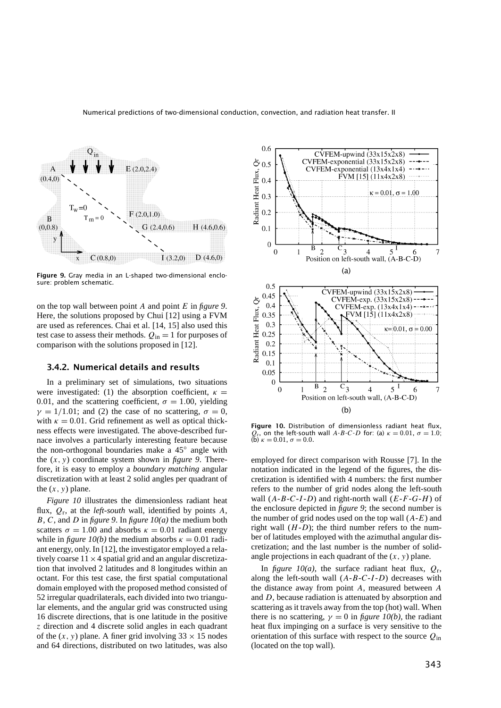

**Figure 9.** Gray media in an L-shaped two-dimensional enclosure: problem schematic.

on the top wall between point *A* and point *E* in *figure 9*. Here, the solutions proposed by Chui [12] using a FVM are used as references. Chai et al. [14, 15] also used this test case to assess their methods.  $Q_{in} = 1$  for purposes of comparison with the solutions proposed in [12].

### **3.4.2. Numerical details and results**

In a preliminary set of simulations, two situations were investigated: (1) the absorption coefficient,  $\kappa =$ 0.01, and the scattering coefficient,  $\sigma = 1.00$ , yielding  $\gamma = 1/1.01$ ; and (2) the case of no scattering,  $\sigma = 0$ , with  $\kappa = 0.01$ . Grid refinement as well as optical thickness effects were investigated. The above-described furnace involves a particularly interesting feature because the non-orthogonal boundaries make a 45◦ angle with the  $(x, y)$  coordinate system shown in *figure 9*. Therefore, it is easy to employ a *boundary matching* angular discretization with at least 2 solid angles per quadrant of the  $(x, y)$  plane.

*Figure 10* illustrates the dimensionless radiant heat flux, *Q*r, at the *left-south* wall, identified by points *A*, *B*, *C*, and *D* in *figure 9*. In *figure 10(a)* the medium both scatters  $\sigma = 1.00$  and absorbs  $\kappa = 0.01$  radiant energy while in *figure 10(b)* the medium absorbs  $\kappa = 0.01$  radiant energy, only. In [12], the investigator employed a relatively coarse  $11 \times 4$  spatial grid and an angular discretization that involved 2 latitudes and 8 longitudes within an octant. For this test case, the first spatial computational domain employed with the proposed method consisted of 52 irregular quadrilaterals, each divided into two triangular elements, and the angular grid was constructed using 16 discrete directions, that is one latitude in the positive *z* direction and 4 discrete solid angles in each quadrant of the  $(x, y)$  plane. A finer grid involving  $33 \times 15$  nodes and 64 directions, distributed on two latitudes, was also



**Figure 10.** Distribution of dimensionless radiant heat flux, *Q*<sub>r</sub>, on the left-south wall *A*-*B*-*C*-*D* for: (a)  $κ = 0.01$ ,  $σ = 1.0$ ;  $(b)$   $\kappa = 0.01, \sigma = 0.0$ .

employed for direct comparison with Rousse [7]. In the notation indicated in the legend of the figures, the discretization is identified with 4 numbers: the first number refers to the number of grid nodes along the left-south wall  $(A - B - C - I - D)$  and right-north wall  $(E - F - G - H)$  of the enclosure depicted in *figure 9*; the second number is the number of grid nodes used on the top wall (*A*-*E*) and right wall  $(H-D)$ ; the third number refers to the number of latitudes employed with the azimuthal angular discretization; and the last number is the number of solidangle projections in each quadrant of the  $(x, y)$  plane.

In *figure 10(a)*, the surface radiant heat flux,  $Q_r$ , along the left-south wall (*A*-*B*-*C*-*I* -*D*) decreases with the distance away from point *A*, measured between *A* and *D*, because radiation is attenuated by absorption and scattering as it travels away from the top (hot) wall. When there is no scattering,  $\gamma = 0$  in *figure 10(b)*, the radiant heat flux impinging on a surface is very sensitive to the orientation of this surface with respect to the source *Q*in (located on the top wall).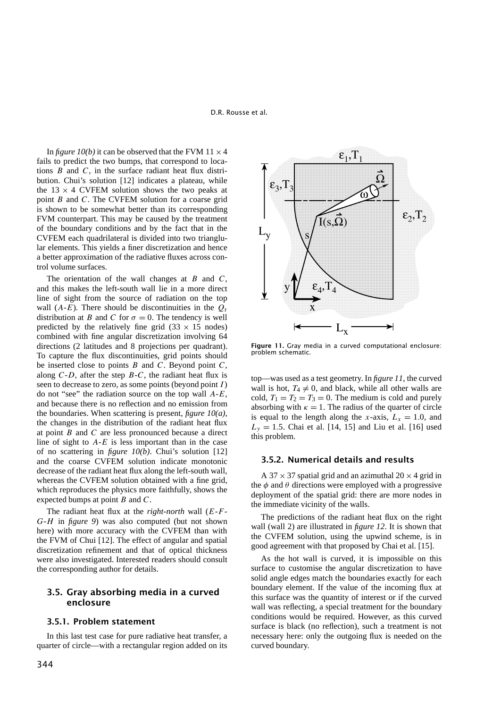In *figure 10(b)* it can be observed that the FVM 11  $\times$  4 fails to predict the two bumps, that correspond to locations *B* and *C*, in the surface radiant heat flux distribution. Chui's solution [12] indicates a plateau, while the  $13 \times 4$  CVFEM solution shows the two peaks at point *B* and *C*. The CVFEM solution for a coarse grid is shown to be somewhat better than its corresponding FVM counterpart. This may be caused by the treatment of the boundary conditions and by the fact that in the CVFEM each quadrilateral is divided into two trianglular elements. This yields a finer discretization and hence a better approximation of the radiative fluxes across control volume surfaces.

The orientation of the wall changes at *B* and *C*, and this makes the left-south wall lie in a more direct line of sight from the source of radiation on the top wall  $(A-E)$ . There should be discontinuities in the  $Q_r$ distribution at *B* and *C* for  $\sigma = 0$ . The tendency is well predicted by the relatively fine grid  $(33 \times 15 \text{ nodes})$ combined with fine angular discretization involving 64 directions (2 latitudes and 8 projections per quadrant). To capture the flux discontinuities, grid points should be inserted close to points *B* and *C*. Beyond point *C*, along *C*-*D*, after the step *B*-*C*, the radiant heat flux is seen to decrease to zero, as some points (beyond point *I* ) do not "see" the radiation source on the top wall *A*-*E*, and because there is no reflection and no emission from the boundaries. When scattering is present, *figure 10(a)*, the changes in the distribution of the radiant heat flux at point *B* and *C* are less pronounced because a direct line of sight to *A*-*E* is less important than in the case of no scattering in *figure 10(b)*. Chui's solution [12] and the coarse CVFEM solution indicate monotonic decrease of the radiant heat flux along the left-south wall, whereas the CVFEM solution obtained with a fine grid, which reproduces the physics more faithfully, shows the expected bumps at point *B* and *C*.

The radiant heat flux at the *right-north* wall (*E*-*F*-*G*-*H* in *figure 9*) was also computed (but not shown here) with more accuracy with the CVFEM than with the FVM of Chui [12]. The effect of angular and spatial discretization refinement and that of optical thickness were also investigated. Interested readers should consult the corresponding author for details.

### **3.5. Gray absorbing media in a curved enclosure**

#### **3.5.1. Problem statement**

In this last test case for pure radiative heat transfer, a quarter of circle—with a rectangular region added on its



**Figure 11.** Gray media in a curved computational enclosure: problem schematic.

top—was used as a test geometry. In *figure 11*, the curved wall is hot,  $T_4 \neq 0$ , and black, while all other walls are cold,  $T_1 = T_2 = T_3 = 0$ . The medium is cold and purely absorbing with  $\kappa = 1$ . The radius of the quarter of circle is equal to the length along the *x*-axis,  $L_x = 1.0$ , and  $L_y = 1.5$ . Chai et al. [14, 15] and Liu et al. [16] used this problem.

#### **3.5.2. Numerical details and results**

A 37  $\times$  37 spatial grid and an azimuthal 20  $\times$  4 grid in the  $\phi$  and  $\theta$  directions were employed with a progressive deployment of the spatial grid: there are more nodes in the immediate vicinity of the walls.

The predictions of the radiant heat flux on the right wall (wall 2) are illustrated in *figure 12*. It is shown that the CVFEM solution, using the upwind scheme, is in good agreement with that proposed by Chai et al. [15].

As the hot wall is curved, it is impossible on this surface to customise the angular discretization to have solid angle edges match the boundaries exactly for each boundary element. If the value of the incoming flux at this surface was the quantity of interest or if the curved wall was reflecting, a special treatment for the boundary conditions would be required. However, as this curved surface is black (no reflection), such a treatment is not necessary here: only the outgoing flux is needed on the curved boundary.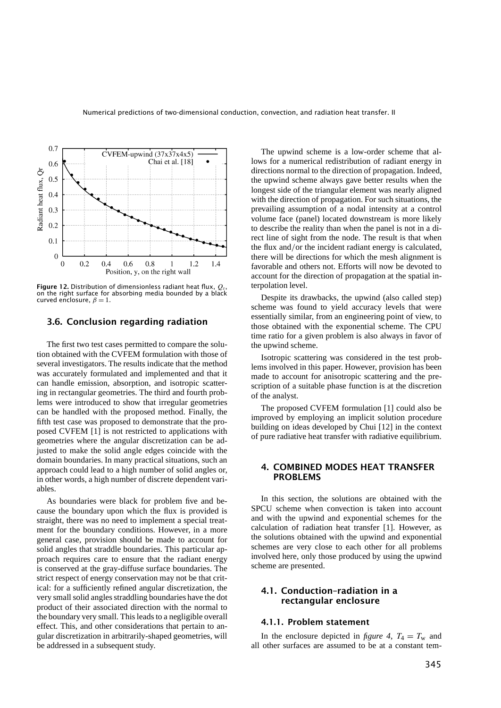

**Figure 12.** Distribution of dimensionless radiant heat flux, *Q*r, on the right surface for absorbing media bounded by a black curved enclosure,  $\beta = 1$ .

### **3.6. Conclusion regarding radiation**

The first two test cases permitted to compare the solution obtained with the CVFEM formulation with those of several investigators. The results indicate that the method was accurately formulated and implemented and that it can handle emission, absorption, and isotropic scattering in rectangular geometries. The third and fourth problems were introduced to show that irregular geometries can be handled with the proposed method. Finally, the fifth test case was proposed to demonstrate that the proposed CVFEM [1] is not restricted to applications with geometries where the angular discretization can be adjusted to make the solid angle edges coincide with the domain boundaries. In many practical situations, such an approach could lead to a high number of solid angles or, in other words, a high number of discrete dependent variables.

As boundaries were black for problem five and because the boundary upon which the flux is provided is straight, there was no need to implement a special treatment for the boundary conditions. However, in a more general case, provision should be made to account for solid angles that straddle boundaries. This particular approach requires care to ensure that the radiant energy is conserved at the gray-diffuse surface boundaries. The strict respect of energy conservation may not be that critical: for a sufficiently refined angular discretization, the very small solid angles straddling boundaries have the dot product of their associated direction with the normal to the boundary very small. This leads to a negligible overall effect. This, and other considerations that pertain to angular discretization in arbitrarily-shaped geometries, will be addressed in a subsequent study.

The upwind scheme is a low-order scheme that allows for a numerical redistribution of radiant energy in directions normal to the direction of propagation. Indeed, the upwind scheme always gave better results when the longest side of the triangular element was nearly aligned with the direction of propagation. For such situations, the prevailing assumption of a nodal intensity at a control volume face (panel) located downstream is more likely to describe the reality than when the panel is not in a direct line of sight from the node. The result is that when the flux and*/*or the incident radiant energy is calculated, there will be directions for which the mesh alignment is favorable and others not. Efforts will now be devoted to account for the direction of propagation at the spatial interpolation level.

Despite its drawbacks, the upwind (also called step) scheme was found to yield accuracy levels that were essentially similar, from an engineering point of view, to those obtained with the exponential scheme. The CPU time ratio for a given problem is also always in favor of the upwind scheme.

Isotropic scattering was considered in the test problems involved in this paper. However, provision has been made to account for anisotropic scattering and the prescription of a suitable phase function is at the discretion of the analyst.

The proposed CVFEM formulation [1] could also be improved by employing an implicit solution procedure building on ideas developed by Chui [12] in the context of pure radiative heat transfer with radiative equilibrium.

# **4. COMBINED MODES HEAT TRANSFER PROBLEMS**

In this section, the solutions are obtained with the SPCU scheme when convection is taken into account and with the upwind and exponential schemes for the calculation of radiation heat transfer [1]. However, as the solutions obtained with the upwind and exponential schemes are very close to each other for all problems involved here, only those produced by using the upwind scheme are presented.

# **4.1. Conduction–radiation in a rectangular enclosure**

#### **4.1.1. Problem statement**

In the enclosure depicted in *figure 4*,  $T_4 = T_w$  and all other surfaces are assumed to be at a constant tem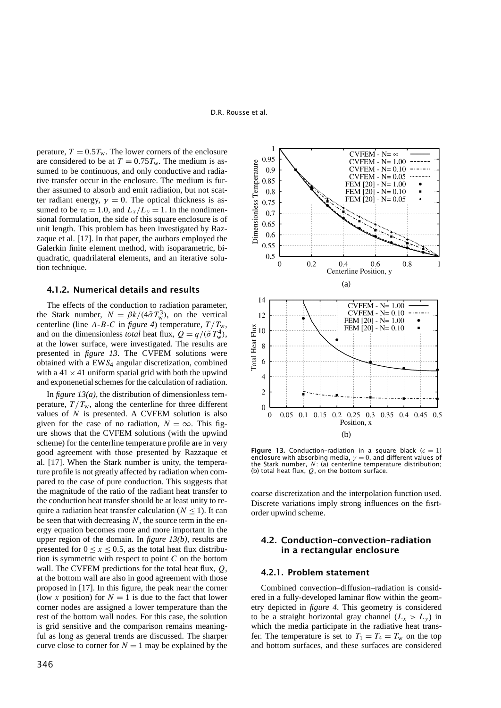perature,  $T = 0.5T_w$ . The lower corners of the enclosure are considered to be at  $T = 0.75T_w$ . The medium is assumed to be continuous, and only conductive and radiative transfer occur in the enclosure. The medium is further assumed to absorb and emit radiation, but not scatter radiant energy,  $\gamma = 0$ . The optical thickness is assumed to be  $\tau_0 = 1.0$ , and  $L_x/L_y = 1$ . In the nondimensional formulation, the side of this square enclosure is of unit length. This problem has been investigated by Razzaque et al. [17]. In that paper, the authors employed the Galerkin finite element method, with isoparametric, biquadratic, quadrilateral elements, and an iterative solution technique.

### **4.1.2. Numerical details and results**

The effects of the conduction to radiation parameter, the Stark number,  $N = \beta k / (4 \tilde{\sigma} T_w^3)$ , on the vertical centerline (line  $A$ - $B$ - $C$  in *figure 4*) temperature,  $T/T_w$ , and on the dimensionless *total* heat flux,  $Q = q/(\tilde{\sigma} T_w^4)$ , at the lower surface, were investigated. The results are presented in *figure 13*. The CVFEM solutions were obtained with a EW*S*<sup>4</sup> angular discretization, combined with a  $41 \times 41$  uniform spatial grid with both the upwind and exponenetial schemes for the calculation of radiation.

In *figure 13(a)*, the distribution of dimensionless temperature,  $T/T_w$ , along the centerline for three different values of *N* is presented. A CVFEM solution is also given for the case of no radiation,  $N = \infty$ . This figure shows that the CVFEM solutions (with the upwind scheme) for the centerline temperature profile are in very good agreement with those presented by Razzaque et al. [17]. When the Stark number is unity, the temperature profile is not greatly affected by radiation when compared to the case of pure conduction. This suggests that the magnitude of the ratio of the radiant heat transfer to the conduction heat transfer should be at least unity to require a radiation heat transfer calculation  $(N < 1)$ . It can be seen that with decreasing *N*, the source term in the energy equation becomes more and more important in the upper region of the domain. In *figure 13(b)*, results are presented for  $0 \le x \le 0.5$ , as the total heat flux distribution is symmetric with respect to point *C* on the bottom wall. The CVFEM predictions for the total heat flux, *Q*, at the bottom wall are also in good agreement with those proposed in [17]. In this figure, the peak near the corner (low *x* position) for  $N = 1$  is due to the fact that lower corner nodes are assigned a lower temperature than the rest of the bottom wall nodes. For this case, the solution is grid sensitive and the comparison remains meaningful as long as general trends are discussed. The sharper curve close to corner for  $N = 1$  may be explained by the



**Figure 13.** Conduction-radiation in a square black  $(\epsilon = 1)$ enclosure with absorbing media,  $\gamma = 0$ , and different values of the Stark number, *N*: (a) centerline temperature distribution; (b) total heat flux, *Q*, on the bottom surface.

coarse discretization and the interpolation function used. Discrete variations imply strong influences on the fisrtorder upwind scheme.

### **4.2. Conduction–convection–radiation in a rectangular enclosure**

#### **4.2.1. Problem statement**

Combined convection–diffusion–radiation is considered in a fully-developed laminar flow within the geometry depicted in *figure 4*. This geometry is considered to be a straight horizontal gray channel  $(L_x > L_y)$  in which the media participate in the radiative heat transfer. The temperature is set to  $T_1 = T_4 = T_w$  on the top and bottom surfaces, and these surfaces are considered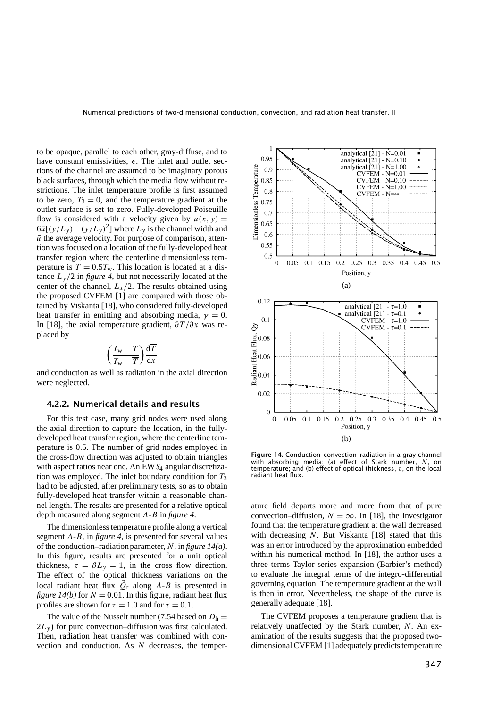to be opaque, parallel to each other, gray-diffuse, and to have constant emissivities,  $\epsilon$ . The inlet and outlet sections of the channel are assumed to be imaginary porous black surfaces, through which the media flow without restrictions. The inlet temperature profile is first assumed to be zero,  $T_3 = 0$ , and the temperature gradient at the outlet surface is set to zero. Fully-developed Poiseuille flow is considered with a velocity given by  $u(x, y) =$  $6\bar{u}[(y/L_y)-(y/L_y)^2]$  where  $L_y$  is the channel width and  $\bar{u}$  the average velocity. For purpose of comparison, attention was focused on a location of the fully-developed heat transfer region where the centerline dimensionless temperature is  $T = 0.5T_w$ . This location is located at a distance  $L_y/2$  in *figure 4*, but not necessarily located at the center of the channel,  $L_x/2$ . The results obtained using the proposed CVFEM [1] are compared with those obtained by Viskanta [18], who considered fully-developed heat transfer in emitting and absorbing media,  $\gamma = 0$ . In [18], the axial temperature gradient, *∂T /∂x* was replaced by

$$
\left(\frac{T_{\rm w}-T}{T_{\rm w}-\overline{T}}\right)\frac{\mathrm{d}\overline{T}}{\mathrm{d}x}
$$

and conduction as well as radiation in the axial direction were neglected.

#### **4.2.2. Numerical details and results**

For this test case, many grid nodes were used along the axial direction to capture the location, in the fullydeveloped heat transfer region, where the centerline temperature is 0*.*5. The number of grid nodes employed in the cross-flow direction was adjusted to obtain triangles with aspect ratios near one. An EW*S*<sup>4</sup> angular discretization was employed. The inlet boundary condition for *T*<sup>3</sup> had to be adjusted, after preliminary tests, so as to obtain fully-developed heat transfer within a reasonable channel length. The results are presented for a relative optical depth measured along segment *A*-*B* in *figure 4*.

The dimensionless temperature profile along a vertical segment *A*-*B*, in *figure 4*, is presented for several values of the conduction–radiation parameter, *N*, in *figure 14(a)*. In this figure, results are presented for a unit optical thickness,  $\tau = \beta L_y = 1$ , in the cross flow direction. The effect of the optical thickness variations on the local radiant heat flux  $\vec{Q}_r$  along *A*-*B* is presented in *figure 14(b)* for  $N = 0.01$ . In this figure, radiant heat flux profiles are shown for  $\tau = 1.0$  and for  $\tau = 0.1$ .

The value of the Nusselt number (7.54 based on  $D<sub>h</sub>$  =  $2L_y$ ) for pure convection–diffusion was first calculated. Then, radiation heat transfer was combined with convection and conduction. As *N* decreases, the temper-



**Figure 14.** Conduction–convection–radiation in a gray channel with absorbing media: (a) effect of Stark number, *N*, on temperature; and (b) effect of optical thickness, *τ*, on the local radiant heat flux.

ature field departs more and more from that of pure convection–diffusion,  $N = \infty$ . In [18], the investigator found that the temperature gradient at the wall decreased with decreasing *N*. But Viskanta [18] stated that this was an error introduced by the approximation embedded within his numerical method. In [18], the author uses a three terms Taylor series expansion (Barbier's method) to evaluate the integral terms of the integro-differential governing equation. The temperature gradient at the wall is then in error. Nevertheless, the shape of the curve is generally adequate [18].

The CVFEM proposes a temperature gradient that is relatively unaffected by the Stark number, *N*. An examination of the results suggests that the proposed twodimensional CVFEM [1] adequately predicts temperature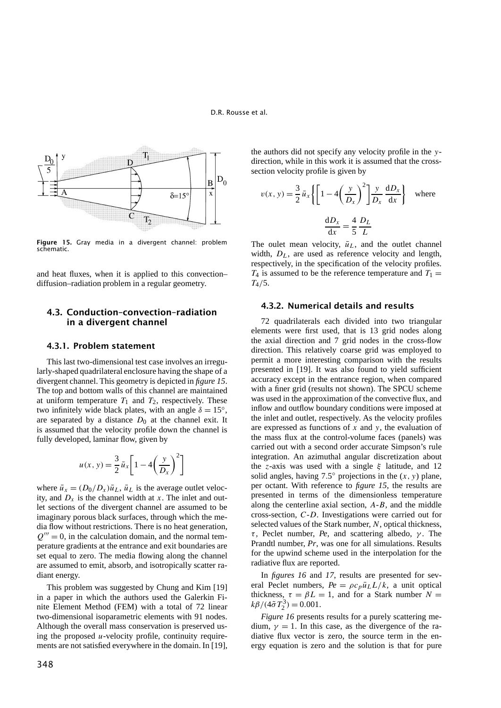

**Figure 15.** Gray media in a divergent channel: problem schematic.

and heat fluxes, when it is applied to this convection– diffusion–radiation problem in a regular geometry.

### **4.3. Conduction–convection–radiation in a divergent channel**

#### **4.3.1. Problem statement**

This last two-dimensional test case involves an irregularly-shaped quadrilateral enclosure having the shape of a divergent channel. This geometry is depicted in *figure 15*. The top and bottom walls of this channel are maintained at uniform temperature  $T_1$  and  $T_2$ , respectively. These two infinitely wide black plates, with an angle  $\delta = 15^\circ$ , are separated by a distance  $D_0$  at the channel exit. It is assumed that the velocity profile down the channel is fully developed, laminar flow, given by

$$
u(x, y) = \frac{3}{2} \bar{u}_x \left[ 1 - 4 \left( \frac{y}{D_x} \right)^2 \right]
$$

where  $\bar{u}_x = (D_0/D_x)\bar{u}_L$ ,  $\bar{u}_L$  is the average outlet velocity, and  $D_x$  is the channel width at x. The inlet and outlet sections of the divergent channel are assumed to be imaginary porous black surfaces, through which the media flow without restrictions. There is no heat generation,  $Q^{\prime\prime\prime} = 0$ , in the calculation domain, and the normal temperature gradients at the entrance and exit boundaries are set equal to zero. The media flowing along the channel are assumed to emit, absorb, and isotropically scatter radiant energy.

This problem was suggested by Chung and Kim [19] in a paper in which the authors used the Galerkin Finite Element Method (FEM) with a total of 72 linear two-dimensional isoparametric elements with 91 nodes. Although the overall mass conservation is preserved using the proposed *u*-velocity profile, continuity requirements are not satisfied everywhere in the domain. In [19],

348

the authors did not specify any velocity profile in the *y*direction, while in this work it is assumed that the crosssection velocity profile is given by

$$
v(x, y) = \frac{3}{2} \bar{u}_x \left\{ \left[ 1 - 4 \left( \frac{y}{D_x} \right)^2 \right] \frac{y}{D_x} \frac{dD_x}{dx} \right\}
$$
 where
$$
\frac{dD_x}{dx} = \frac{4}{5} \frac{D_L}{L}
$$

The oulet mean velocity,  $\bar{u}_L$ , and the outlet channel width,  $D_L$ , are used as reference velocity and length, respectively, in the specification of the velocity profiles.  $T_4$  is assumed to be the reference temperature and  $T_1 =$ *T*4*/*5.

### **4.3.2. Numerical details and results**

72 quadrilaterals each divided into two triangular elements were first used, that is 13 grid nodes along the axial direction and 7 grid nodes in the cross-flow direction. This relatively coarse grid was employed to permit a more interesting comparison with the results presented in [19]. It was also found to yield sufficient accuracy except in the entrance region, when compared with a finer grid (results not shown). The SPCU scheme was used in the approximation of the convective flux, and inflow and outflow boundary conditions were imposed at the inlet and outlet, respectively. As the velocity profiles are expressed as functions of *x* and *y*, the evaluation of the mass flux at the control-volume faces (panels) was carried out with a second order accurate Simpson's rule integration. An azimuthal angular discretization about the *z*-axis was used with a single *ξ* latitude, and 12 solid angles, having  $7.5^\circ$  projections in the  $(x, y)$  plane, per octant. With reference to *figure 15*, the results are presented in terms of the dimensionless temperature along the centerline axial section, *A*-*B*, and the middle cross-section, *C*-*D*. Investigations were carried out for selected values of the Stark number, *N*, optical thickness, *τ* , Peclet number, *Pe*, and scattering albedo, *γ* . The Prandtl number, *Pr*, was one for all simulations. Results for the upwind scheme used in the interpolation for the radiative flux are reported.

In *figures 16* and *17*, results are presented for several Peclet numbers,  $Pe = \rho c_p \bar{u}_L L/k$ , a unit optical thickness,  $\tau = \beta L = 1$ , and for a Stark number  $N =$  $k\beta/(4\tilde{\sigma}T_2^3) = 0.001.$ 

*Figure 16* presents results for a purely scattering medium,  $\gamma = 1$ . In this case, as the divergence of the radiative flux vector is zero, the source term in the energy equation is zero and the solution is that for pure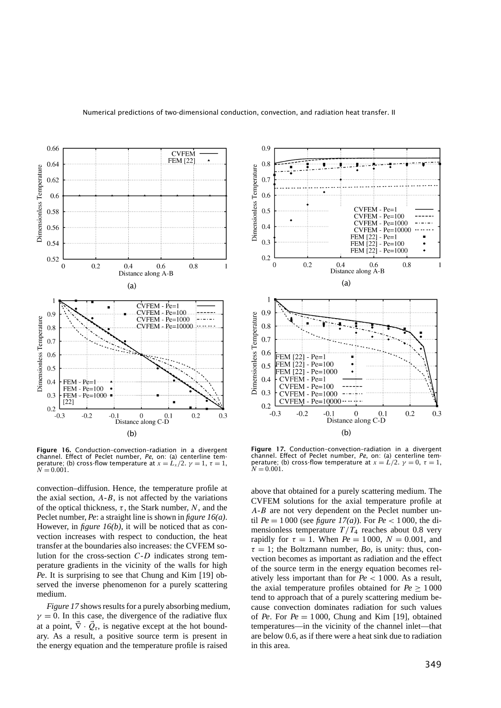

**Figure 16.** Conduction–convection–radiation in a divergent channel. Effect of Peclet number, *Pe*, on: (a) centerline temperature; (b) cross-flow temperature at  $x = L_x/2$ .  $\gamma = 1$ ,  $\tau = 1$ ,  $N = 0.001$ .

convection–diffusion. Hence, the temperature profile at the axial section,  $A - B$ , is not affected by the variations of the optical thickness, *τ* , the Stark number, *N*, and the Peclet number, *Pe*: a straight line is shown in *figure 16(a)*. However, in *figure 16(b)*, it will be noticed that as convection increases with respect to conduction, the heat transfer at the boundaries also increases: the CVFEM solution for the cross-section *C*-*D* indicates strong temperature gradients in the vicinity of the walls for high *Pe*. It is surprising to see that Chung and Kim [19] observed the inverse phenomenon for a purely scattering medium.

*Figure 17* shows results for a purely absorbing medium,  $\gamma = 0$ . In this case, the divergence of the radiative flux at a point,  $\vec{\nabla} \cdot \vec{Q}_r$ , is negative except at the hot boundary. As a result, a positive source term is present in the energy equation and the temperature profile is raised



**Figure 17.** Conduction–convection–radiation in a divergent channel. Effect of Peclet number, *Pe*, on: (a) centerline temperature; (b) cross-flow temperature at  $x = L/2$ .  $\gamma = 0$ ,  $\tau = 1$ ,  $N = 0.001$ .

above that obtained for a purely scattering medium. The CVFEM solutions for the axial temperature profile at *A*-*B* are not very dependent on the Peclet number until *Pe* = 1 000 (see *figure 17(a)*). For *Pe* < 1 000, the dimensionless temperature  $T/T_4$  reaches about 0.8 very rapidly for  $\tau = 1$ . When  $Pe = 1000$ ,  $N = 0.001$ , and  $\tau = 1$ ; the Boltzmann number, *Bo*, is unity: thus, convection becomes as important as radiation and the effect of the source term in the energy equation becomes relatively less important than for *Pe <* 1 000. As a result, the axial temperature profiles obtained for  $Pe \ge 1000$ tend to approach that of a purely scattering medium because convection dominates radiation for such values of *Pe*. For  $Pe = 1000$ , Chung and Kim [19], obtained temperatures—in the vicinity of the channel inlet—that are below 0.6, as if there were a heat sink due to radiation in this area.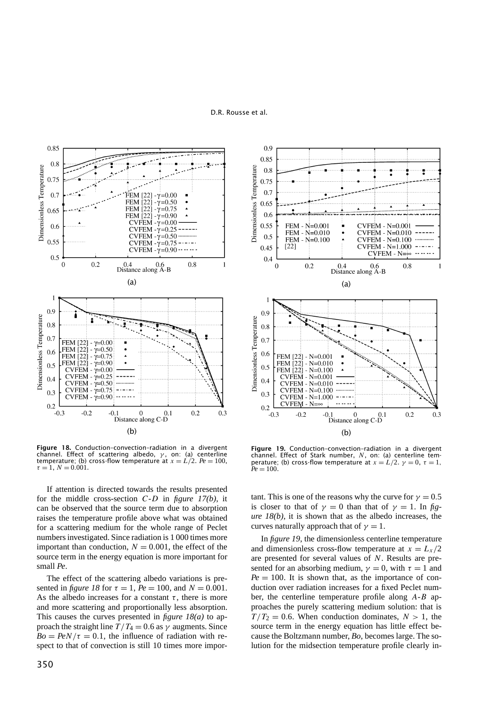

**Figure 18.** Conduction–convection–radiation in a divergent channel. Effect of scattering albedo, γ, on: (a) centerline temperature; (b) cross-flow temperature at  $x = L/2$ .  $Pe = 100$ ,  $\tau = 1, N = 0.001.$ 

If attention is directed towards the results presented for the middle cross-section *C*-*D* in *figure 17(b)*, it can be observed that the source term due to absorption raises the temperature profile above what was obtained for a scattering medium for the whole range of Peclet numbers investigated. Since radiation is 1 000 times more important than conduction,  $N = 0.001$ , the effect of the source term in the energy equation is more important for small *Pe*.

The effect of the scattering albedo variations is presented in *figure 18* for  $\tau = 1$ ,  $Pe = 100$ , and  $N = 0.001$ . As the albedo increases for a constant  $\tau$ , there is more and more scattering and proportionally less absorption. This causes the curves presented in *figure 18(a)* to approach the straight line  $T/T_4 = 0.6$  as  $\gamma$  augments. Since  $Bo = PeN/\tau = 0.1$ , the influence of radiation with respect to that of convection is still 10 times more impor-



**Figure 19.** Conduction–convection–radiation in a divergent channel. Effect of Stark number, *N*, on: (a) centerline temperature; (b) cross-flow temperature at  $x = L/2$ .  $\gamma = 0$ ,  $\tau = 1$ ,  $Pe = 100$ .

tant. This is one of the reasons why the curve for  $\gamma = 0.5$ is closer to that of  $\gamma = 0$  than that of  $\gamma = 1$ . In fig*ure*  $18(b)$ *,* it is shown that as the albedo increases, the curves naturally approach that of  $\gamma = 1$ .

In *figure 19*, the dimensionless centerline temperature and dimensionless cross-flow temperature at  $x = L_x/2$ are presented for several values of *N*. Results are presented for an absorbing medium,  $\gamma = 0$ , with  $\tau = 1$  and  $Pe = 100$ . It is shown that, as the importance of conduction over radiation increases for a fixed Peclet number, the centerline temperature profile along *A*-*B* approaches the purely scattering medium solution: that is  $T/T_2 = 0.6$ . When conduction dominates,  $N > 1$ , the source term in the energy equation has little effect because the Boltzmann number, *Bo*, becomes large. The solution for the midsection temperature profile clearly in-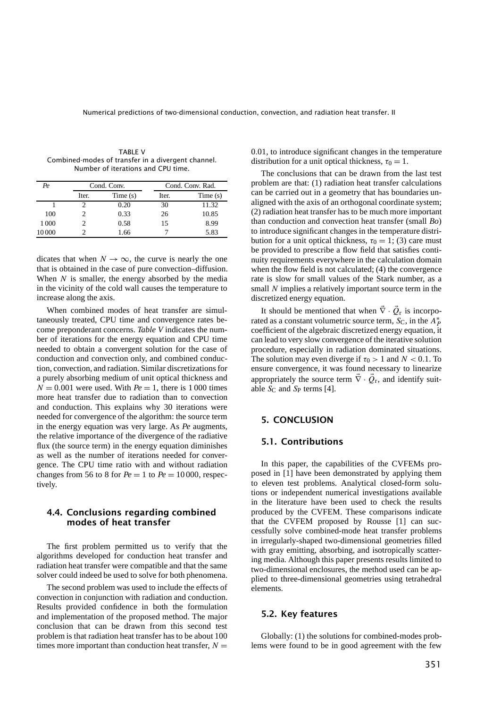| Pe      |       | Cond. Conv. |       | Cond. Conv. Rad. |  |  |
|---------|-------|-------------|-------|------------------|--|--|
|         | Iter. | Time(s)     | Iter. | Time(s)          |  |  |
|         |       | 0.20        | 30    | 11.32            |  |  |
| 100     |       | 0.33        | 26    | 10.85            |  |  |
| 1 0 0 0 |       | 0.58        | 15    | 8.99             |  |  |
| 10000   |       | 1.66        |       | 5.83             |  |  |

TABLE V Combined-modes of transfer in a divergent channel. Number of iterations and CPU time.

dicates that when  $N \to \infty$ , the curve is nearly the one that is obtained in the case of pure convection–diffusion. When *N* is smaller, the energy absorbed by the media in the vicinity of the cold wall causes the temperature to increase along the axis.

When combined modes of heat transfer are simultaneously treated, CPU time and convergence rates become preponderant concerns. *Table V* indicates the number of iterations for the energy equation and CPU time needed to obtain a convergent solution for the case of conduction and convection only, and combined conduction, convection, and radiation. Similar discretizations for a purely absorbing medium of unit optical thickness and  $N = 0.001$  were used. With  $Pe = 1$ , there is 1 000 times more heat transfer due to radiation than to convection and conduction. This explains why 30 iterations were needed for convergence of the algorithm: the source term in the energy equation was very large. As *Pe* augments, the relative importance of the divergence of the radiative flux (the source term) in the energy equation diminishes as well as the number of iterations needed for convergence. The CPU time ratio with and without radiation changes from 56 to 8 for  $Pe = 1$  to  $Pe = 10000$ , respectively.

# **4.4. Conclusions regarding combined modes of heat transfer**

The first problem permitted us to verify that the algorithms developed for conduction heat transfer and radiation heat transfer were compatible and that the same solver could indeed be used to solve for both phenomena.

The second problem was used to include the effects of convection in conjunction with radiation and conduction. Results provided confidence in both the formulation and implementation of the proposed method. The major conclusion that can be drawn from this second test problem is that radiation heat transfer has to be about 100 times more important than conduction heat transfer,  $N =$ 

0*.*01, to introduce significant changes in the temperature distribution for a unit optical thickness,  $\tau_0 = 1$ .

The conclusions that can be drawn from the last test problem are that: (1) radiation heat transfer calculations can be carried out in a geometry that has boundaries unaligned with the axis of an orthogonal coordinate system; (2) radiation heat transfer has to be much more important than conduction and convection heat transfer (small *Bo*) to introduce significant changes in the temperature distribution for a unit optical thickness,  $\tau_0 = 1$ ; (3) care must be provided to prescribe a flow field that satisfies continuity requirements everywhere in the calculation domain when the flow field is not calculated; (4) the convergence rate is slow for small values of the Stark number, as a small *N* implies a relatively important source term in the discretized energy equation.

It should be mentioned that when  $\vec{\nabla} \cdot \vec{Q}_r$  is incorporated as a constant volumetric source term,  $S_C$ , in the  $A^*_P$ coefficient of the algebraic discretized energy equation, it can lead to very slow convergence of the iterative solution procedure, especially in radiation dominated situations. The solution may even diverge if  $\tau_0 > 1$  and  $N < 0.1$ . To ensure convergence, it was found necessary to linearize appropriately the source term  $\vec{\nabla} \cdot \vec{Q}_r$ , and identify suitable  $S_{\rm C}$  and  $S_{\rm P}$  terms [4].

### **5. CONCLUSION**

### **5.1. Contributions**

In this paper, the capabilities of the CVFEMs proposed in [1] have been demonstrated by applying them to eleven test problems. Analytical closed-form solutions or independent numerical investigations available in the literature have been used to check the results produced by the CVFEM. These comparisons indicate that the CVFEM proposed by Rousse [1] can successfully solve combined-mode heat transfer problems in irregularly-shaped two-dimensional geometries filled with gray emitting, absorbing, and isotropically scattering media. Although this paper presents results limited to two-dimensional enclosures, the method used can be applied to three-dimensional geometries using tetrahedral elements.

### **5.2. Key features**

Globally: (1) the solutions for combined-modes problems were found to be in good agreement with the few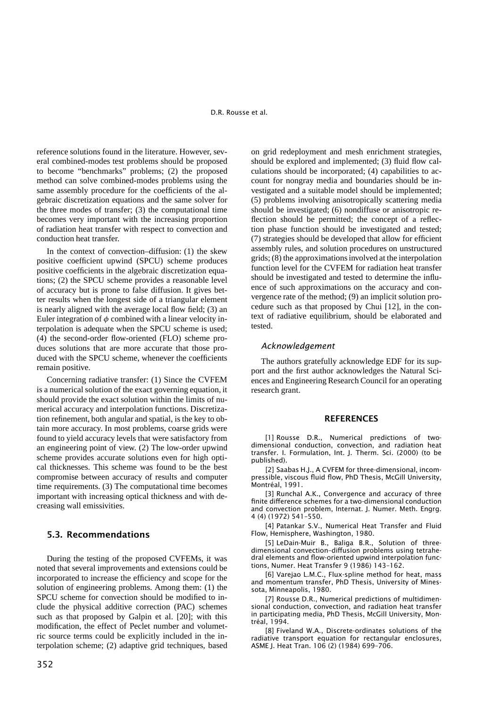reference solutions found in the literature. However, several combined-modes test problems should be proposed to become "benchmarks" problems; (2) the proposed method can solve combined-modes problems using the same assembly procedure for the coefficients of the algebraic discretization equations and the same solver for the three modes of transfer; (3) the computational time becomes very important with the increasing proportion of radiation heat transfer with respect to convection and conduction heat transfer.

In the context of convection–diffusion: (1) the skew positive coefficient upwind (SPCU) scheme produces positive coefficients in the algebraic discretization equations; (2) the SPCU scheme provides a reasonable level of accuracy but is prone to false diffusion. It gives better results when the longest side of a triangular element is nearly aligned with the average local flow field; (3) an Euler integration of  $\phi$  combined with a linear velocity interpolation is adequate when the SPCU scheme is used; (4) the second-order flow-oriented (FLO) scheme produces solutions that are more accurate that those produced with the SPCU scheme, whenever the coefficients remain positive.

Concerning radiative transfer: (1) Since the CVFEM is a numerical solution of the exact governing equation, it should provide the exact solution within the limits of numerical accuracy and interpolation functions. Discretization refinement, both angular and spatial, is the key to obtain more accuracy. In most problems, coarse grids were found to yield accuracy levels that were satisfactory from an engineering point of view. (2) The low-order upwind scheme provides accurate solutions even for high optical thicknesses. This scheme was found to be the best compromise between accuracy of results and computer time requirements. (3) The computational time becomes important with increasing optical thickness and with decreasing wall emissivities.

# **5.3. Recommendations**

During the testing of the proposed CVFEMs, it was noted that several improvements and extensions could be incorporated to increase the efficiency and scope for the solution of engineering problems. Among them: (1) the SPCU scheme for convection should be modified to include the physical additive correction (PAC) schemes such as that proposed by Galpin et al. [20]; with this modification, the effect of Peclet number and volumetric source terms could be explicitly included in the interpolation scheme; (2) adaptive grid techniques, based on grid redeployment and mesh enrichment strategies, should be explored and implemented; (3) fluid flow calculations should be incorporated; (4) capabilities to account for nongray media and boundaries should be investigated and a suitable model should be implemented; (5) problems involving anisotropically scattering media should be investigated; (6) nondiffuse or anisotropic reflection should be permitted; the concept of a reflection phase function should be investigated and tested; (7) strategies should be developed that allow for efficient assembly rules, and solution procedures on unstructured grids; (8) the approximations involved at the interpolation function level for the CVFEM for radiation heat transfer should be investigated and tested to determine the influence of such approximations on the accuracy and convergence rate of the method; (9) an implicit solution procedure such as that proposed by Chui [12], in the context of radiative equilibrium, should be elaborated and tested.

## *Acknowledgement*

The authors gratefully acknowledge EDF for its support and the first author acknowledges the Natural Sciences and Engineering Research Council for an operating research grant.

### **REFERENCES**

[1] Rousse D.R., Numerical predictions of twodimensional conduction, convection, and radiation heat transfer. I. Formulation, Int. J. Therm. Sci. (2000) (to be published).

[2] Saabas H.J., A CVFEM for three-dimensional, incompressible, viscous fluid flow, PhD Thesis, McGill University, Montréal, 1991.

[3] Runchal A.K., Convergence and accuracy of three finite difference schemes for a two-dimensional conduction and convection problem, Internat. J. Numer. Meth. Engrg. 4 (4) (1972) 541–550.

[4] Patankar S.V., Numerical Heat Transfer and Fluid Flow, Hemisphere, Washington, 1980.

[5] LeDain-Muir B., Baliga B.R., Solution of threedimensional convection–diffusion problems using tetrahedral elements and flow-oriented upwind interpolation functions, Numer. Heat Transfer 9 (1986) 143–162.

[6] Varejao L.M.C., Flux-spline method for heat, mass and momentum transfer, PhD Thesis, University of Minessota, Minneapolis, 1980.

[7] Rousse D.R., Numerical predictions of multidimensional conduction, convection, and radiation heat transfer in participating media, PhD Thesis, McGill University, Montréal, 1994.

[8] Fiveland W.A., Discrete-ordinates solutions of the radiative transport equation for rectangular enclosures, ASME J. Heat Tran. 106 (2) (1984) 699–706.